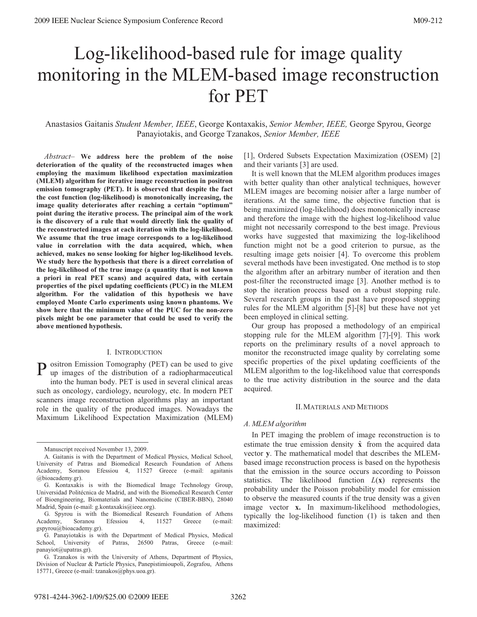# Log-likelihood-based rule for image quality monitoring in the MLEM-based image reconstruction for PET

## Anastasios Gaitanis *Student Member, IEEE*, George Kontaxakis, *Senior Member, IEEE,* George Spyrou, George Panayiotakis, and George Tzanakos, *Senior Member, IEEE*

 *Abstract–* **We address here the problem of the noise deterioration of the quality of the reconstructed images when employing the maximum likelihood expectation maximization (MLEM) algorithm for iterative image reconstruction in positron emission tomography (PET). It is observed that despite the fact the cost function (log-likelihood) is monotonically increasing, the image quality deteriorates after reaching a certain "optimum" point during the iterative process. The principal aim of the work is the discovery of a rule that would directly link the quality of the reconstructed images at each iteration with the log-likelihood. We assume that the true image corresponds to a log-likelihood value in correlation with the data acquired, which, when achieved, makes no sense looking for higher log-likelihood levels. We study here the hypothesis that there is a direct correlation of the log-likelihood of the true image (a quantity that is not known a priori in real PET scans) and acquired data, with certain properties of the pixel updating coefficients (PUC) in the MLEM algorithm. For the validation of this hypothesis we have employed Monte Carlo experiments using known phantoms. We show here that the minimum value of the PUC for the non-zero pixels might be one parameter that could be used to verify the above mentioned hypothesis.** 

## I. INTRODUCTION

**P** ositron Emission Tomography (PET) can be used to give up images of the distribution of a radiopharmaceutical up images of the distribution of a radiopharmaceutical into the human body. PET is used in several clinical areas such as oncology, cardiology, neurology, etc. In modern PET scanners image reconstruction algorithms play an important role in the quality of the produced images. Nowadays the Maximum Likelihood Expectation Maximization (MLEM)

[1], Ordered Subsets Expectation Maximization (OSEM) [2] and their variants [3] are used.

It is well known that the MLEM algorithm produces images with better quality than other analytical techniques, however MLEM images are becoming noisier after a large number of iterations. At the same time, the objective function that is being maximized (log-likelihood) does monotonically increase and therefore the image with the highest log-likelihood value might not necessarily correspond to the best image. Previous works have suggested that maximizing the log-likelihood function might not be a good criterion to pursue, as the resulting image gets noisier [4]. To overcome this problem several methods have been investigated. One method is to stop the algorithm after an arbitrary number of iteration and then post-filter the reconstructed image [3]. Another method is to stop the iteration process based on a robust stopping rule. Several research groups in the past have proposed stopping rules for the MLEM algorithm [5]-[8] but these have not yet been employed in clinical setting.

Our group has proposed a methodology of an empirical stopping rule for the MLEM algorithm [7]-[9]. This work reports on the preliminary results of a novel approach to monitor the reconstructed image quality by correlating some specific properties of the pixel updating coefficients of the MLEM algorithm to the log-likelihood value that corresponds to the true activity distribution in the source and the data acquired.

## II.MATERIALS AND METHODS

#### *A. MLEM algorithm*

In PET imaging the problem of image reconstruction is to estimate the true emission density  $\hat{x}$  from the acquired data vector **y**. The mathematical model that describes the MLEMbased image reconstruction process is based on the hypothesis that the emission in the source occurs according to Poisson statistics. The likelihood function  $L(x)$  represents the probability under the Poisson probability model for emission to observe the measured counts if the true density was a given image vector **x.** In maximum-likelihood methodologies, typically the log-likelihood function (1) is taken and then maximized:

Manuscript received November 13, 2009.

A. Gaitanis is with the Department of Medical Physics, Medical School, University of Patras and Biomedical Research Foundation of Athens Academy, Soranou Efessiou 4, 11527 Greece (e-mail: agaitanis @bioacademy.gr).

G. Kontaxakis is with the Biomedical Image Technology Group, Universidad Politécnica de Madrid, and with the Biomedical Research Center of Bioengineering, Biomaterials and Nanomedicine (CIBER-BBN), 28040 Madrid, Spain (e-mail: g.kontaxakis@ieee.org).

G. Spyrou is with the Biomedical Research Foundation of Athens Academy, Soranou Efessiou 4, 11527 Greece (e-mail: gspyrou@bioacademy.gr).

G. Panayiotakis is with the Department of Medical Physics, Medical<br>hool, University of Patras, 26500 Patras, Greece (e-mail: School, University of Patras, 26500 Patras, Greece (e-mail: panayiot@upatras.gr).

G. Tzanakos is with the University of Athens, Department of Physics, Division of Nuclear & Particle Physics, Panepistimioupoli, Zografou, Athens 15771, Greece (e-mail: tzanakos@phys.uoa.gr).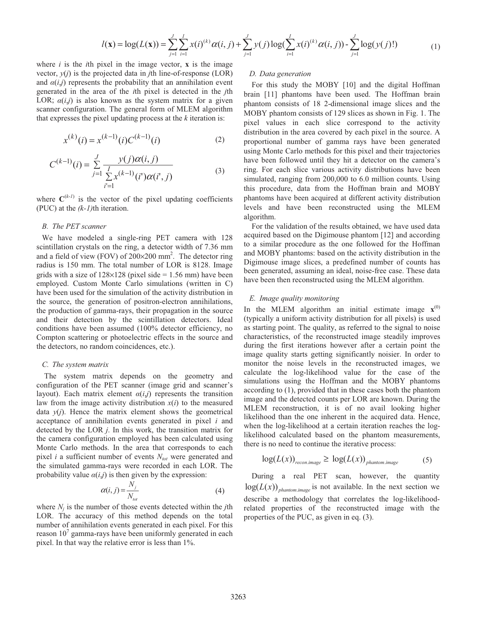$$
l(\mathbf{x}) = \log(L(\mathbf{x})) = \sum_{j=1}^{J} \sum_{i=1}^{I} x(i)^{(k)} \alpha(i, j) + \sum_{j=1}^{J} y(j) \log(\sum_{i=1}^{I} x(i)^{(k)} \alpha(i, j)) - \sum_{j=1}^{J} \log(y(j)!)
$$
(1)

where  $i$  is the  $i$ th pixel in the image vector,  $\bf{x}$  is the image vector, *y*(*j*) is the projected data in *j*th line-of-response (LOR) and  $\alpha(i,j)$  represents the probability that an annihilation event generated in the area of the *i*th pixel is detected in the *j*th LOR;  $\alpha(i,j)$  is also known as the system matrix for a given scanner configuration. The general form of MLEM algorithm that expresses the pixel updating process at the *k* iteration is:

$$
x^{(k)}(i) = x^{(k-1)}(i)C^{(k-1)}(i)
$$
 (2)

$$
C^{(k-1)}(i) = \sum_{j=1}^{J} \frac{y(j)\alpha(i,j)}{\sum_{i'=1}^{I} x^{(k-1)}(i')\alpha(i',j)}
$$
(3)

where  $\mathbf{C}^{(k-1)}$  is the vector of the pixel updating coefficients (PUC) at the *(k-1)*th iteration.

### *B. The PET scanner*

We have modeled a single-ring PET camera with 128 scintillation crystals on the ring, a detector width of 7.36 mm and a field of view (FOV) of  $200 \times 200$  mm<sup>2</sup>. The detector ring radius is 150 mm. The total number of LOR is 8128. Image grids with a size of  $128\times128$  (pixel side = 1.56 mm) have been employed. Custom Monte Carlo simulations (written in C) have been used for the simulation of the activity distribution in the source, the generation of positron-electron annihilations, the production of gamma-rays, their propagation in the source and their detection by the scintillation detectors. Ideal conditions have been assumed (100% detector efficiency, no Compton scattering or photoelectric effects in the source and the detectors, no random coincidences, etc.).

#### *C. The system matrix*

The system matrix depends on the geometry and configuration of the PET scanner (image grid and scanner's layout). Each matrix element  $\alpha(i,j)$  represents the transition law from the image activity distribution  $x(i)$  to the measured data  $y(i)$ . Hence the matrix element shows the geometrical acceptance of annihilation events generated in pixel *i* and detected by the LOR *j*. In this work, the transition matrix for the camera configuration employed has been calculated using Monte Carlo methods. In the area that corresponds to each pixel *i* a sufficient number of events  $N_{tot}$  were generated and the simulated gamma-rays were recorded in each LOR. The probability value  $a(i,j)$  is then given by the expression:

$$
\alpha(i,j) = \frac{N_j}{N_{tot}}\tag{4}
$$

where  $N_i$  is the number of those events detected within the *j*th LOR. The accuracy of this method depends on the total number of annihilation events generated in each pixel. For this reason  $10^7$  gamma-rays have been uniformly generated in each pixel. In that way the relative error is less than 1%.

#### *D. Data generation*

For this study the MOBY [10] and the digital Hoffman brain [11] phantoms have been used. The Hoffman brain phantom consists of 18 2-dimensional image slices and the MOBY phantom consists of 129 slices as shown in Fig. 1. The pixel values in each slice correspond to the activity distribution in the area covered by each pixel in the source. A proportional number of gamma rays have been generated using Monte Carlo methods for this pixel and their trajectories have been followed until they hit a detector on the camera's ring. For each slice various activity distributions have been simulated, ranging from 200,000 to 6.0 million counts. Using this procedure, data from the Hoffman brain and MOBY phantoms have been acquired at different activity distribution levels and have been reconstructed using the MLEM algorithm.

For the validation of the results obtained, we have used data acquired based on the Digimouse phantom [12] and according to a similar procedure as the one followed for the Hoffman and MOBY phantoms: based on the activity distribution in the Digimouse image slices, a predefined number of counts has been generated, assuming an ideal, noise-free case. These data have been then reconstructed using the MLEM algorithm.

#### *E. Image quality monitoring*

In the MLEM algorithm an initial estimate image  $\mathbf{x}^{(0)}$ (typically a uniform activity distribution for all pixels) is used as starting point. The quality, as referred to the signal to noise characteristics, of the reconstructed image steadily improves during the first iterations however after a certain point the image quality starts getting significantly noisier. In order to monitor the noise levels in the reconstructed images, we calculate the log-likelihood value for the case of the simulations using the Hoffman and the MOBY phantoms according to (1), provided that in these cases both the phantom image and the detected counts per LOR are known. During the MLEM reconstruction, it is of no avail looking higher likelihood than the one inherent in the acquired data. Hence, when the log-likelihood at a certain iteration reaches the loglikelihood calculated based on the phantom measurements, there is no need to continue the iterative process:

$$
\log(L(x))_{recon.\text{image}} \ge \log(L(x))_{\text{phantom}.\text{image}} \tag{5}
$$

 During a real PET scan, however, the quantity  $log(L(x))$ <sub>phantom image</sub> is not available. In the next section we describe a methodology that correlates the log-likelihoodrelated properties of the reconstructed image with the properties of the PUC, as given in eq. (3).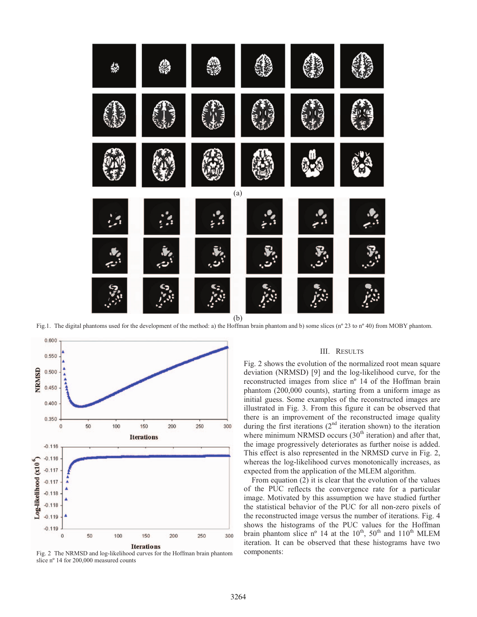

Fig.1. The digital phantoms used for the development of the method: a) the Hoffman brain phantom and b) some slices (nº 23 to nº 40) from MOBY phantom.



Fig. 2 The NRMSD and log-likelihood curves for the Hoffman brain phantom slice nº 14 for 200,000 measured counts

### III. RESULTS

Fig. 2 shows the evolution of the normalized root mean square deviation (NRMSD) [9] and the log-likelihood curve, for the reconstructed images from slice nº 14 of the Hoffman brain phantom (200,000 counts), starting from a uniform image as initial guess. Some examples of the reconstructed images are illustrated in Fig. 3. From this figure it can be observed that there is an improvement of the reconstructed image quality during the first iterations  $(2<sup>nd</sup>$  iteration shown) to the iteration where minimum NRMSD occurs  $(30<sup>th</sup>$  iteration) and after that, the image progressively deteriorates as further noise is added. This effect is also represented in the NRMSD curve in Fig. 2, whereas the log-likelihood curves monotonically increases, as expected from the application of the MLEM algorithm.

From equation (2) it is clear that the evolution of the values of the PUC reflects the convergence rate for a particular image. Motivated by this assumption we have studied further the statistical behavior of the PUC for all non-zero pixels of the reconstructed image versus the number of iterations. Fig. 4 shows the histograms of the PUC values for the Hoffman brain phantom slice nº 14 at the  $10^{th}$ ,  $50^{th}$  and  $110^{th}$  MLEM iteration. It can be observed that these histograms have two components: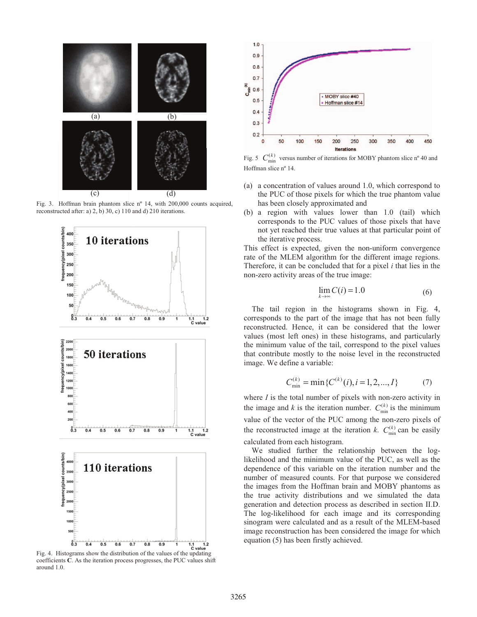

Fig. 3. Hoffman brain phantom slice nº 14, with 200,000 counts acquired, reconstructed after: a) 2, b) 30, c) 110 and d) 210 iterations.



Fig. 4. Histograms show the distribution of the values of the updating coefficients **C**. As the iteration process progresses, the PUC values shift around 1.0.



Fig. 5  $C_{\text{min}}^{(k)}$  versus number of iterations for MOBY phantom slice n° 40 and Hoffman slice nº 14.

- (a) a concentration of values around 1.0, which correspond to the PUC of those pixels for which the true phantom value has been closely approximated and
- (b) a region with values lower than 1.0 (tail) which corresponds to the PUC values of those pixels that have not yet reached their true values at that particular point of the iterative process.

This effect is expected, given the non-uniform convergence rate of the MLEM algorithm for the different image regions. Therefore, it can be concluded that for a pixel *i* that lies in the non-zero activity areas of the true image:

$$
\lim_{k \to \infty} C(i) = 1.0
$$
 (6)

The tail region in the histograms shown in Fig. 4, corresponds to the part of the image that has not been fully reconstructed. Hence, it can be considered that the lower values (most left ones) in these histograms, and particularly the minimum value of the tail, correspond to the pixel values that contribute mostly to the noise level in the reconstructed image. We define a variable:

$$
C_{\min}^{(k)} = \min\{C^{(k)}(i), i = 1, 2, ..., I\}
$$
 (7)

where *I* is the total number of pixels with non-zero activity in the image and *k* is the iteration number.  $C_{\min}^{(k)}$  is the minimum value of the vector of the PUC among the non-zero pixels of the reconstructed image at the iteration *k*.  $C_{\min}^{(k)}$  can be easily calculated from each histogram.

We studied further the relationship between the loglikelihood and the minimum value of the PUC, as well as the dependence of this variable on the iteration number and the number of measured counts. For that purpose we considered the images from the Hoffman brain and MOBY phantoms as the true activity distributions and we simulated the data generation and detection process as described in section II.D. The log-likelihood for each image and its corresponding sinogram were calculated and as a result of the MLEM-based image reconstruction has been considered the image for which equation (5) has been firstly achieved.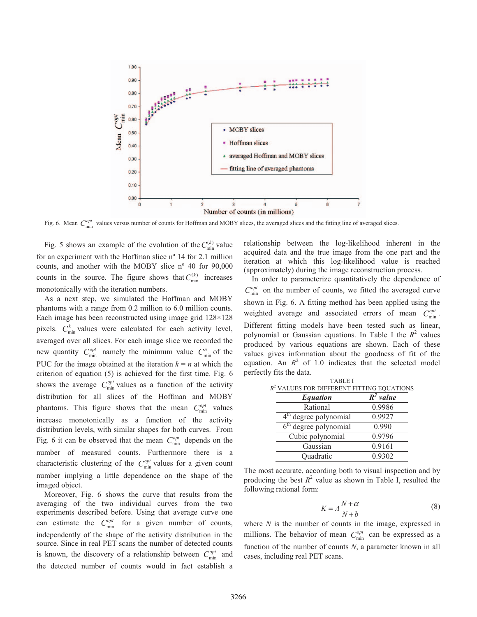

Fig. 6. Mean  $C_{\min}^{opt}$  values versus number of counts for Hoffman and MOBY slices, the averaged slices and the fitting line of averaged slices.

Fig. 5 shows an example of the evolution of the  $C_{\min}^{(k)}$  value for an experiment with the Hoffman slice nº 14 for 2.1 million counts, and another with the MOBY slice nº 40 for 90,000 counts in the source. The figure shows that  $C_{\min}^{(k)}$  increases monotonically with the iteration numbers.

As a next step, we simulated the Hoffman and MOBY phantoms with a range from 0.2 million to 6.0 million counts. Each image has been reconstructed using image grid 128×128 pixels.  $C_{\min}^k$  values were calculated for each activity level, averaged over all slices. For each image slice we recorded the new quantity  $C_{\min}^{opt}$  namely the minimum value  $C_{\min}^{n}$  of the PUC for the image obtained at the iteration  $k = n$  at which the criterion of equation (5) is achieved for the first time. Fig. 6 shows the average  $C_{\min}^{opt}$  values as a function of the activity distribution for all slices of the Hoffman and MOBY phantoms. This figure shows that the mean  $C_{\min}^{opt}$  values increase monotonically as a function of the activity distribution levels, with similar shapes for both curves. From Fig. 6 it can be observed that the mean  $C_{\min}^{opt}$  depends on the number of measured counts. Furthermore there is a characteristic clustering of the  $C_{\min}^{opt}$  values for a given count number implying a little dependence on the shape of the imaged object.

Moreover, Fig. 6 shows the curve that results from the averaging of the two individual curves from the two experiments described before. Using that average curve one can estimate the  $C_{\min}^{opt}$  for a given number of counts, independently of the shape of the activity distribution in the source. Since in real PET scans the number of detected counts is known, the discovery of a relationship between  $C_{\min}^{opt}$  and the detected number of counts would in fact establish a

relationship between the log-likelihood inherent in the acquired data and the true image from the one part and the iteration at which this log-likelihood value is reached (approximately) during the image reconstruction process.

In order to parameterize quantitatively the dependence of  $C_{\min}^{opt}$  on the number of counts, we fitted the averaged curve shown in Fig. 6. A fitting method has been applied using the weighted average and associated errors of mean  $C_{\min}^{opt}$ . Different fitting models have been tested such as linear, polynomial or Gaussian equations. In Table I the  $R^2$  values produced by various equations are shown. Each of these values gives information about the goodness of fit of the equation. An  $R^2$  of 1.0 indicates that the selected model perfectly fits the data. TABLE I

| TABLE I                                      |  |
|----------------------------------------------|--|
| $R^2$ VALUES FOR DIFFERENT FITTING EQUATIONS |  |

| <b>Equation</b>                   | $R^2$ value |
|-----------------------------------|-------------|
| Rational                          | 0.9986      |
| 4 <sup>th</sup> degree polynomial | 0.9927      |
| $6th$ degree polynomial           | 0.990       |
| Cubic polynomial                  | 0.9796      |
| Gaussian                          | 0.9161      |
| Quadratic                         | 0.9302      |

The most accurate, according both to visual inspection and by producing the best  $R^2$  value as shown in Table I, resulted the following rational form:

$$
K = A \frac{N + \alpha}{N + b} \tag{8}
$$

where *N* is the number of counts in the image, expressed in millions. The behavior of mean  $C_{\min}^{opt}$  can be expressed as a function of the number of counts *N*, a parameter known in all cases, including real PET scans.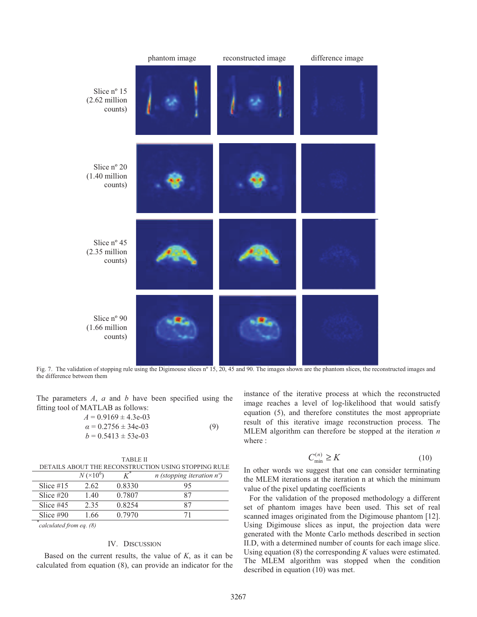

Fig. 7. The validation of stopping rule using the Digimouse slices  $n^{\circ}$  15, 20, 45 and 90. The images shown are the phantom slices, the reconstructed images and the difference between them

The parameters *A*, *a* and *b* have been specified using the fitting tool of MATLAB as follows:  $A = 0.0160 + 4.3603$ 

| (9) |
|-----|
|     |
|     |

| TABLE II                                             |                 |        |                                            |  |  |
|------------------------------------------------------|-----------------|--------|--------------------------------------------|--|--|
| DETAILS ABOUT THE RECONSTRUCTION USING STOPPING RULE |                 |        |                                            |  |  |
|                                                      | $N \times 10^6$ |        | <i>n</i> (stopping iteration $n^{\circ}$ ) |  |  |
| Slice $#15$                                          | 2.62            | 0.8330 | 95                                         |  |  |
| Slice $#20$                                          | 1.40            | 0.7807 | 87                                         |  |  |
| Slice $#45$                                          | 2.35            | 0.8254 | 87                                         |  |  |
| Slice $\#90$                                         | 1 66            | 0.7970 |                                            |  |  |

*\* calculated from eq. (8)* 

## IV. DISCUSSION

Based on the current results, the value of *K*, as it can be calculated from equation (8), can provide an indicator for the

instance of the iterative process at which the reconstructed image reaches a level of log-likelihood that would satisfy equation (5), and therefore constitutes the most appropriate result of this iterative image reconstruction process. The MLEM algorithm can therefore be stopped at the iteration *n* where :

$$
C_{\min}^{(n)} \ge K \tag{10}
$$

In other words we suggest that one can consider terminating the MLEM iterations at the iteration n at which the minimum value of the pixel updating coefficients

For the validation of the proposed methodology a different set of phantom images have been used. This set of real scanned images originated from the Digimouse phantom [12]. Using Digimouse slices as input, the projection data were generated with the Monte Carlo methods described in section II.D, with a determined number of counts for each image slice. Using equation (8) the corresponding *K* values were estimated. The MLEM algorithm was stopped when the condition described in equation (10) was met.